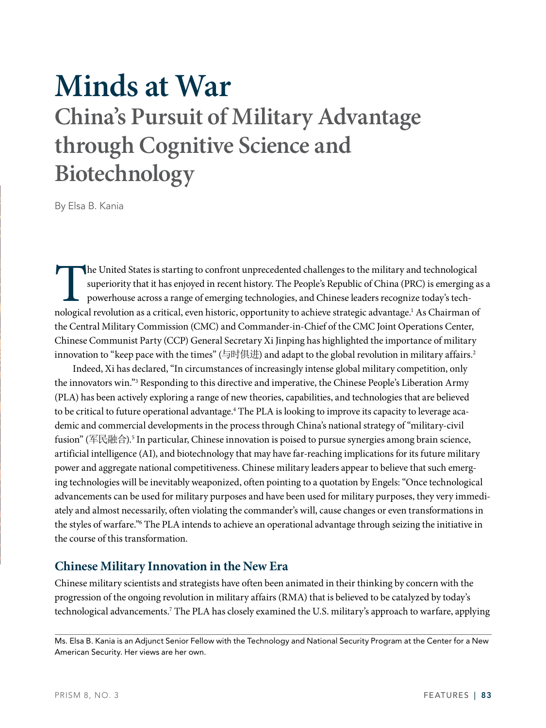# **Minds at War China's Pursuit of Military Advantage through Cognitive Science and Biotechnology**

By Elsa B. Kania

The United States is starting to confront unprecedented challenges to the military and technological<br>superiority that it has enjoyed in recent history. The People's Republic of China (PRC) is emerging a<br>powerhouse across a superiority that it has enjoyed in recent history. The People's Republic of China (PRC) is emerging as a powerhouse across a range of emerging technologies, and Chinese leaders recognize today's technological revolution as a critical, even historic, opportunity to achieve strategic advantage.<sup>1</sup> As Chairman of the Central Military Commission (CMC) and Commander-in-Chief of the CMC Joint Operations Center, Chinese Communist Party (CCP) General Secretary Xi Jinping has highlighted the importance of military innovation to "keep pace with the times" (与时俱进) and adapt to the global revolution in military affairs.2

Indeed, Xi has declared, "In circumstances of increasingly intense global military competition, only the innovators win."3 Responding to this directive and imperative, the Chinese People's Liberation Army (PLA) has been actively exploring a range of new theories, capabilities, and technologies that are believed to be critical to future operational advantage.<sup>4</sup> The PLA is looking to improve its capacity to leverage academic and commercial developments in the process through China's national strategy of "military-civil fusion" (军民融合).<sup>5</sup> In particular, Chinese innovation is poised to pursue synergies among brain science, artificial intelligence (AI), and biotechnology that may have far-reaching implications for its future military power and aggregate national competitiveness. Chinese military leaders appear to believe that such emerging technologies will be inevitably weaponized, often pointing to a quotation by Engels: "Once technological advancements can be used for military purposes and have been used for military purposes, they very immediately and almost necessarily, often violating the commander's will, cause changes or even transformations in the styles of warfare."6 The PLA intends to achieve an operational advantage through seizing the initiative in the course of this transformation.

### **Chinese Military Innovation in the New Era**

Chinese military scientists and strategists have often been animated in their thinking by concern with the progression of the ongoing revolution in military affairs (RMA) that is believed to be catalyzed by today's technological advancements.7 The PLA has closely examined the U.S. military's approach to warfare, applying

Ms. Elsa B. Kania is an Adjunct Senior Fellow with the Technology and National Security Program at the Center for a New American Security. Her views are her own.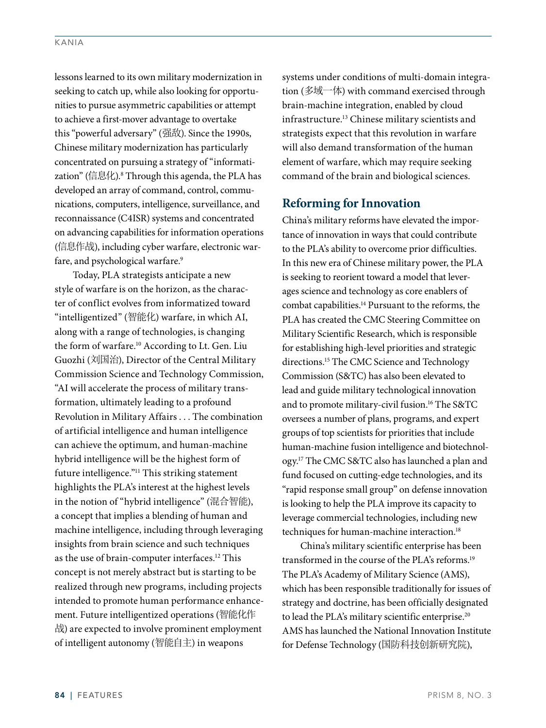lessons learned to its own military modernization in seeking to catch up, while also looking for opportunities to pursue asymmetric capabilities or attempt to achieve a first-mover advantage to overtake this "powerful adversary" (强敌). Since the 1990s, Chinese military modernization has particularly concentrated on pursuing a strategy of "informatization" (信息化).<sup>8</sup> Through this agenda, the PLA has developed an array of command, control, communications, computers, intelligence, surveillance, and reconnaissance (C4ISR) systems and concentrated on advancing capabilities for information operations (信息作战), including cyber warfare, electronic warfare, and psychological warfare.<sup>9</sup>

Today, PLA strategists anticipate a new style of warfare is on the horizon, as the character of conflict evolves from informatized toward "intelligentized" (智能化) warfare, in which AI, along with a range of technologies, is changing the form of warfare.<sup>10</sup> According to Lt. Gen. Liu Guozhi (刘国治), Director of the Central Military Commission Science and Technology Commission, "AI will accelerate the process of military transformation, ultimately leading to a profound Revolution in Military Affairs . . . The combination of artificial intelligence and human intelligence can achieve the optimum, and human-machine hybrid intelligence will be the highest form of future intelligence."11 This striking statement highlights the PLA's interest at the highest levels in the notion of "hybrid intelligence" (混合智能), a concept that implies a blending of human and machine intelligence, including through leveraging insights from brain science and such techniques as the use of brain-computer interfaces.<sup>12</sup> This concept is not merely abstract but is starting to be realized through new programs, including projects intended to promote human performance enhancement. Future intelligentized operations (智能化作 战) are expected to involve prominent employment of intelligent autonomy (智能自主) in weapons

systems under conditions of multi-domain integration (多域一体) with command exercised through brain-machine integration, enabled by cloud infrastructure.13 Chinese military scientists and strategists expect that this revolution in warfare will also demand transformation of the human element of warfare, which may require seeking command of the brain and biological sciences.

#### **Reforming for Innovation**

China's military reforms have elevated the importance of innovation in ways that could contribute to the PLA's ability to overcome prior difficulties. In this new era of Chinese military power, the PLA is seeking to reorient toward a model that leverages science and technology as core enablers of combat capabilities.14 Pursuant to the reforms, the PLA has created the CMC Steering Committee on Military Scientific Research, which is responsible for establishing high-level priorities and strategic directions.15 The CMC Science and Technology Commission (S&TC) has also been elevated to lead and guide military technological innovation and to promote military-civil fusion.16 The S&TC oversees a number of plans, programs, and expert groups of top scientists for priorities that include human-machine fusion intelligence and biotechnology.17 The CMC S&TC also has launched a plan and fund focused on cutting-edge technologies, and its "rapid response small group" on defense innovation is looking to help the PLA improve its capacity to leverage commercial technologies, including new techniques for human-machine interaction.<sup>18</sup>

China's military scientific enterprise has been transformed in the course of the PLA's reforms.<sup>19</sup> The PLA's Academy of Military Science (AMS), which has been responsible traditionally for issues of strategy and doctrine, has been officially designated to lead the PLA's military scientific enterprise.<sup>20</sup> AMS has launched the National Innovation Institute for Defense Technology (国防科技创新研究院),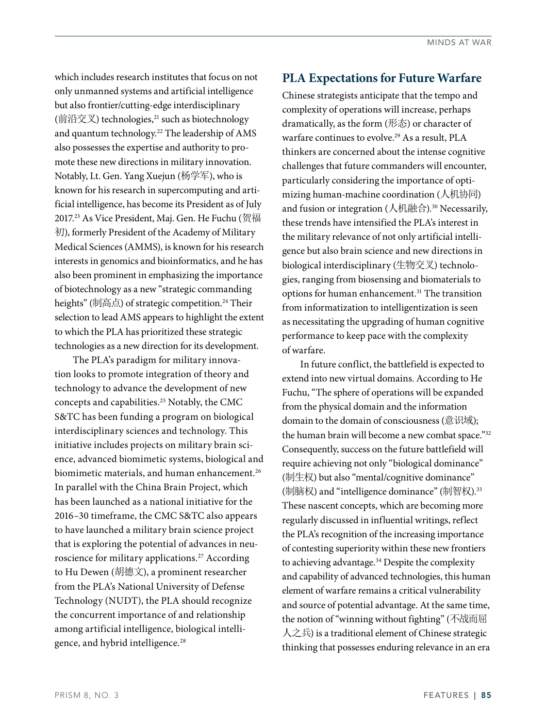which includes research institutes that focus on not only unmanned systems and artificial intelligence but also frontier/cutting-edge interdisciplinary (前沿交叉) technologies, $21$  such as biotechnology and quantum technology.<sup>22</sup> The leadership of AMS also possesses the expertise and authority to promote these new directions in military innovation. Notably, Lt. Gen. Yang Xuejun (杨学军), who is known for his research in supercomputing and artificial intelligence, has become its President as of July 2017.23 As Vice President, Maj. Gen. He Fuchu (贺福 初), formerly President of the Academy of Military Medical Sciences (AMMS), is known for his research interests in genomics and bioinformatics, and he has also been prominent in emphasizing the importance of biotechnology as a new "strategic commanding heights" (制高点) of strategic competition.<sup>24</sup> Their selection to lead AMS appears to highlight the extent to which the PLA has prioritized these strategic technologies as a new direction for its development.

The PLA's paradigm for military innovation looks to promote integration of theory and technology to advance the development of new concepts and capabilities.25 Notably, the CMC S&TC has been funding a program on biological interdisciplinary sciences and technology. This initiative includes projects on military brain science, advanced biomimetic systems, biological and biomimetic materials, and human enhancement.<sup>26</sup> In parallel with the China Brain Project, which has been launched as a national initiative for the 2016–30 timeframe, the CMC S&TC also appears to have launched a military brain science project that is exploring the potential of advances in neuroscience for military applications.<sup>27</sup> According to Hu Dewen (胡德文), a prominent researcher from the PLA's National University of Defense Technology (NUDT), the PLA should recognize the concurrent importance of and relationship among artificial intelligence, biological intelligence, and hybrid intelligence.<sup>28</sup>

#### **PLA Expectations for Future Warfare**

Chinese strategists anticipate that the tempo and complexity of operations will increase, perhaps dramatically, as the form (形态) or character of warfare continues to evolve.<sup>29</sup> As a result, PLA thinkers are concerned about the intense cognitive challenges that future commanders will encounter, particularly considering the importance of optimizing human-machine coordination (人机协同) and fusion or integration (人机融合).<sup>30</sup> Necessarily, these trends have intensified the PLA's interest in the military relevance of not only artificial intelligence but also brain science and new directions in biological interdisciplinary (生物交叉) technologies, ranging from biosensing and biomaterials to options for human enhancement.<sup>31</sup> The transition from informatization to intelligentization is seen as necessitating the upgrading of human cognitive performance to keep pace with the complexity of warfare.

In future conflict, the battlefield is expected to extend into new virtual domains. According to He Fuchu, "The sphere of operations will be expanded from the physical domain and the information domain to the domain of consciousness (意识域); the human brain will become a new combat space."32 Consequently, success on the future battlefield will require achieving not only "biological dominance" (制生权) but also "mental/cognitive dominance" (制脑权) and "intelligence dominance" (制智权).<sup>33</sup> These nascent concepts, which are becoming more regularly discussed in influential writings, reflect the PLA's recognition of the increasing importance of contesting superiority within these new frontiers to achieving advantage.<sup>34</sup> Despite the complexity and capability of advanced technologies, this human element of warfare remains a critical vulnerability and source of potential advantage. At the same time, the notion of "winning without fighting" (不战而屈 人之兵) is a traditional element of Chinese strategic thinking that possesses enduring relevance in an era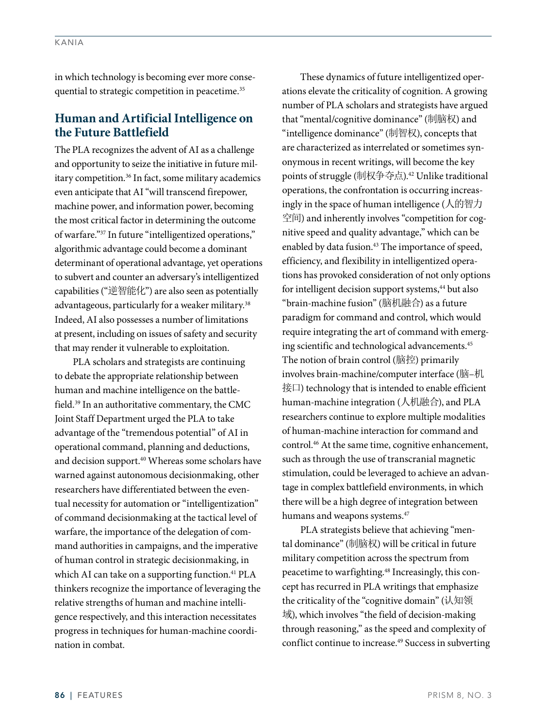in which technology is becoming ever more consequential to strategic competition in peacetime.<sup>35</sup>

### **Human and Artificial Intelligence on the Future Battlefield**

The PLA recognizes the advent of AI as a challenge and opportunity to seize the initiative in future military competition.36 In fact, some military academics even anticipate that AI "will transcend firepower, machine power, and information power, becoming the most critical factor in determining the outcome of warfare."37 In future "intelligentized operations," algorithmic advantage could become a dominant determinant of operational advantage, yet operations to subvert and counter an adversary's intelligentized capabilities ("逆智能化") are also seen as potentially advantageous, particularly for a weaker military.<sup>38</sup> Indeed, AI also possesses a number of limitations at present, including on issues of safety and security that may render it vulnerable to exploitation.

PLA scholars and strategists are continuing to debate the appropriate relationship between human and machine intelligence on the battlefield.39 In an authoritative commentary, the CMC Joint Staff Department urged the PLA to take advantage of the "tremendous potential" of AI in operational command, planning and deductions, and decision support.<sup>40</sup> Whereas some scholars have warned against autonomous decisionmaking, other researchers have differentiated between the eventual necessity for automation or "intelligentization" of command decisionmaking at the tactical level of warfare, the importance of the delegation of command authorities in campaigns, and the imperative of human control in strategic decisionmaking, in which AI can take on a supporting function.<sup>41</sup> PLA thinkers recognize the importance of leveraging the relative strengths of human and machine intelligence respectively, and this interaction necessitates progress in techniques for human-machine coordination in combat.

These dynamics of future intelligentized operations elevate the criticality of cognition. A growing number of PLA scholars and strategists have argued that "mental/cognitive dominance" (制脑权) and "intelligence dominance" (制智权), concepts that are characterized as interrelated or sometimes synonymous in recent writings, will become the key points of struggle (制权争夺点).42 Unlike traditional operations, the confrontation is occurring increasingly in the space of human intelligence (人的智力 空间) and inherently involves "competition for cognitive speed and quality advantage," which can be enabled by data fusion.<sup>43</sup> The importance of speed, efficiency, and flexibility in intelligentized operations has provoked consideration of not only options for intelligent decision support systems,<sup>44</sup> but also "brain-machine fusion" (脑机融合) as a future paradigm for command and control, which would require integrating the art of command with emerging scientific and technological advancements.<sup>45</sup> The notion of brain control (脑控) primarily involves brain-machine/computer interface (脑–机 接口) technology that is intended to enable efficient human-machine integration (人机融合), and PLA researchers continue to explore multiple modalities of human-machine interaction for command and control.46 At the same time, cognitive enhancement, such as through the use of transcranial magnetic stimulation, could be leveraged to achieve an advantage in complex battlefield environments, in which there will be a high degree of integration between humans and weapons systems.<sup>47</sup>

PLA strategists believe that achieving "mental dominance" (制脑权) will be critical in future military competition across the spectrum from peacetime to warfighting.<sup>48</sup> Increasingly, this concept has recurred in PLA writings that emphasize the criticality of the "cognitive domain" (认知领 域), which involves "the field of decision-making through reasoning," as the speed and complexity of conflict continue to increase.<sup>49</sup> Success in subverting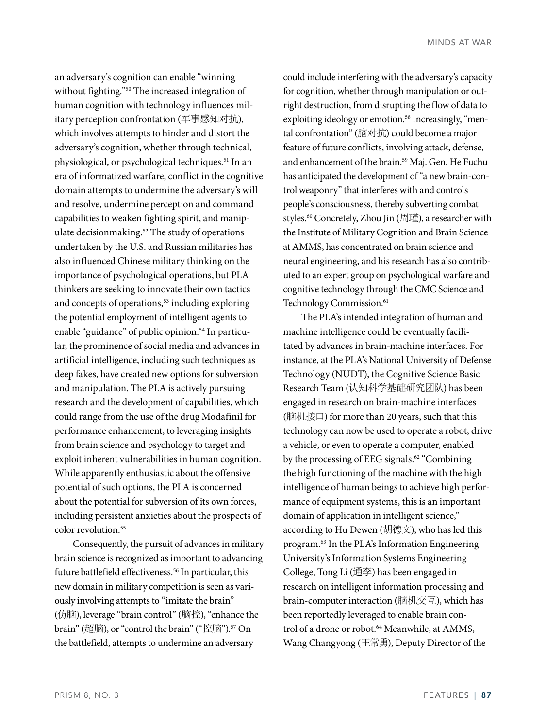an adversary's cognition can enable "winning without fighting."50 The increased integration of human cognition with technology influences military perception confrontation (军事感知对抗), which involves attempts to hinder and distort the adversary's cognition, whether through technical, physiological, or psychological techniques.<sup>51</sup> In an era of informatized warfare, conflict in the cognitive domain attempts to undermine the adversary's will and resolve, undermine perception and command capabilities to weaken fighting spirit, and manipulate decisionmaking.<sup>52</sup> The study of operations undertaken by the U.S. and Russian militaries has also influenced Chinese military thinking on the importance of psychological operations, but PLA thinkers are seeking to innovate their own tactics and concepts of operations,<sup>53</sup> including exploring the potential employment of intelligent agents to enable "guidance" of public opinion.<sup>54</sup> In particular, the prominence of social media and advances in artificial intelligence, including such techniques as deep fakes, have created new options for subversion and manipulation. The PLA is actively pursuing research and the development of capabilities, which could range from the use of the drug Modafinil for performance enhancement, to leveraging insights from brain science and psychology to target and exploit inherent vulnerabilities in human cognition. While apparently enthusiastic about the offensive potential of such options, the PLA is concerned about the potential for subversion of its own forces, including persistent anxieties about the prospects of color revolution.<sup>55</sup>

Consequently, the pursuit of advances in military brain science is recognized as important to advancing future battlefield effectiveness.<sup>56</sup> In particular, this new domain in military competition is seen as variously involving attempts to "imitate the brain" (仿脑), leverage "brain control" (脑控), "enhance the brain" (超脑), or "control the brain" ("控脑").<sup>57</sup> On the battlefield, attempts to undermine an adversary

could include interfering with the adversary's capacity for cognition, whether through manipulation or outright destruction, from disrupting the flow of data to exploiting ideology or emotion.<sup>58</sup> Increasingly, "mental confrontation" (脑对抗) could become a major feature of future conflicts, involving attack, defense, and enhancement of the brain.<sup>59</sup> Maj. Gen. He Fuchu has anticipated the development of "a new brain-control weaponry" that interferes with and controls people's consciousness, thereby subverting combat styles.60 Concretely, Zhou Jin (周瑾), a researcher with the Institute of Military Cognition and Brain Science at AMMS, has concentrated on brain science and neural engineering, and his research has also contributed to an expert group on psychological warfare and cognitive technology through the CMC Science and Technology Commission.<sup>61</sup>

The PLA's intended integration of human and machine intelligence could be eventually facilitated by advances in brain-machine interfaces. For instance, at the PLA's National University of Defense Technology (NUDT), the Cognitive Science Basic Research Team (认知科学基础研究团队) has been engaged in research on brain-machine interfaces (脑机接口) for more than 20 years, such that this technology can now be used to operate a robot, drive a vehicle, or even to operate a computer, enabled by the processing of EEG signals.<sup>62</sup> "Combining" the high functioning of the machine with the high intelligence of human beings to achieve high performance of equipment systems, this is an important domain of application in intelligent science," according to Hu Dewen (胡德文), who has led this program.63 In the PLA's Information Engineering University's Information Systems Engineering College, Tong Li (通李) has been engaged in research on intelligent information processing and brain-computer interaction (脑机交互), which has been reportedly leveraged to enable brain control of a drone or robot.<sup>64</sup> Meanwhile, at AMMS, Wang Changyong (王常勇), Deputy Director of the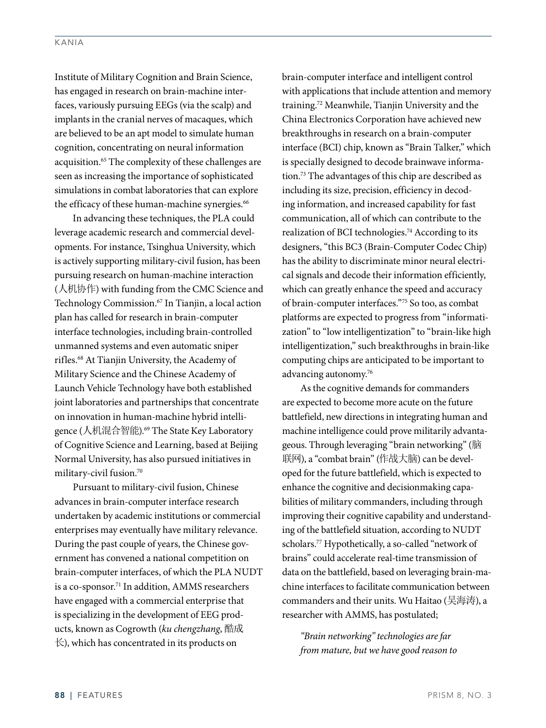Institute of Military Cognition and Brain Science, has engaged in research on brain-machine interfaces, variously pursuing EEGs (via the scalp) and implants in the cranial nerves of macaques, which are believed to be an apt model to simulate human cognition, concentrating on neural information acquisition.<sup>65</sup> The complexity of these challenges are seen as increasing the importance of sophisticated simulations in combat laboratories that can explore the efficacy of these human-machine synergies.<sup>66</sup>

In advancing these techniques, the PLA could leverage academic research and commercial developments. For instance, Tsinghua University, which is actively supporting military-civil fusion, has been pursuing research on human-machine interaction (人机协作) with funding from the CMC Science and Technology Commission.<sup>67</sup> In Tianjin, a local action plan has called for research in brain-computer interface technologies, including brain-controlled unmanned systems and even automatic sniper rifles.68 At Tianjin University, the Academy of Military Science and the Chinese Academy of Launch Vehicle Technology have both established joint laboratories and partnerships that concentrate on innovation in human-machine hybrid intelligence (人机混合智能).<sup>69</sup> The State Key Laboratory of Cognitive Science and Learning, based at Beijing Normal University, has also pursued initiatives in military-civil fusion.70

Pursuant to military-civil fusion, Chinese advances in brain-computer interface research undertaken by academic institutions or commercial enterprises may eventually have military relevance. During the past couple of years, the Chinese government has convened a national competition on brain-computer interfaces, of which the PLA NUDT is a co-sponsor.71 In addition, AMMS researchers have engaged with a commercial enterprise that is specializing in the development of EEG products, known as Cogrowth (*ku chengzhang*, 酷成  $\pm$ ), which has concentrated in its products on

brain-computer interface and intelligent control with applications that include attention and memory training.72 Meanwhile, Tianjin University and the China Electronics Corporation have achieved new breakthroughs in research on a brain-computer interface (BCI) chip, known as "Brain Talker," which is specially designed to decode brainwave information.73 The advantages of this chip are described as including its size, precision, efficiency in decoding information, and increased capability for fast communication, all of which can contribute to the realization of BCI technologies.<sup>74</sup> According to its designers, "this BC3 (Brain-Computer Codec Chip) has the ability to discriminate minor neural electrical signals and decode their information efficiently, which can greatly enhance the speed and accuracy of brain-computer interfaces."75 So too, as combat platforms are expected to progress from "informatization" to "low intelligentization" to "brain-like high intelligentization," such breakthroughs in brain-like computing chips are anticipated to be important to advancing autonomy.76

As the cognitive demands for commanders are expected to become more acute on the future battlefield, new directions in integrating human and machine intelligence could prove militarily advantageous. Through leveraging "brain networking" (脑 联网), a "combat brain" (作战大脑) can be developed for the future battlefield, which is expected to enhance the cognitive and decisionmaking capabilities of military commanders, including through improving their cognitive capability and understanding of the battlefield situation, according to NUDT scholars.77 Hypothetically, a so-called "network of brains" could accelerate real-time transmission of data on the battlefield, based on leveraging brain-machine interfaces to facilitate communication between commanders and their units. Wu Haitao (吴海涛), a researcher with AMMS, has postulated;

*"Brain networking" technologies are far from mature, but we have good reason to*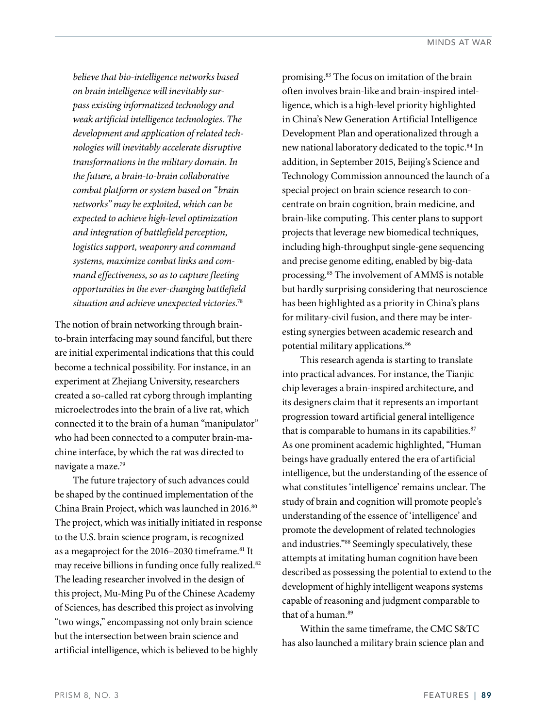*believe that bio-intelligence networks based on brain intelligence will inevitably surpass existing informatized technology and weak artificial intelligence technologies. The development and application of related technologies will inevitably accelerate disruptive transformations in the military domain. In the future, a brain-to-brain collaborative combat platform or system based on "brain networks" may be exploited, which can be expected to achieve high-level optimization and integration of battlefield perception, logistics support, weaponry and command systems, maximize combat links and command effectiveness, so as to capture fleeting opportunities in the ever-changing battlefield situation and achieve unexpected victories*. 78

The notion of brain networking through brainto-brain interfacing may sound fanciful, but there are initial experimental indications that this could become a technical possibility. For instance, in an experiment at Zhejiang University, researchers created a so-called rat cyborg through implanting microelectrodes into the brain of a live rat, which connected it to the brain of a human "manipulator" who had been connected to a computer brain-machine interface, by which the rat was directed to navigate a maze.79

The future trajectory of such advances could be shaped by the continued implementation of the China Brain Project, which was launched in 2016.<sup>80</sup> The project, which was initially initiated in response to the U.S. brain science program, is recognized as a megaproject for the 2016–2030 timeframe.<sup>81</sup> It may receive billions in funding once fully realized.<sup>82</sup> The leading researcher involved in the design of this project, Mu-Ming Pu of the Chinese Academy of Sciences, has described this project as involving "two wings," encompassing not only brain science but the intersection between brain science and artificial intelligence, which is believed to be highly

promising.83 The focus on imitation of the brain often involves brain-like and brain-inspired intelligence, which is a high-level priority highlighted in China's New Generation Artificial Intelligence Development Plan and operationalized through a new national laboratory dedicated to the topic.84 In addition, in September 2015, Beijing's Science and Technology Commission announced the launch of a special project on brain science research to concentrate on brain cognition, brain medicine, and brain-like computing. This center plans to support projects that leverage new biomedical techniques, including high-throughput single-gene sequencing and precise genome editing, enabled by big-data processing.85 The involvement of AMMS is notable but hardly surprising considering that neuroscience has been highlighted as a priority in China's plans for military-civil fusion, and there may be interesting synergies between academic research and potential military applications.<sup>86</sup>

This research agenda is starting to translate into practical advances. For instance, the Tianjic chip leverages a brain-inspired architecture, and its designers claim that it represents an important progression toward artificial general intelligence that is comparable to humans in its capabilities.<sup>87</sup> As one prominent academic highlighted, "Human beings have gradually entered the era of artificial intelligence, but the understanding of the essence of what constitutes 'intelligence' remains unclear. The study of brain and cognition will promote people's understanding of the essence of 'intelligence' and promote the development of related technologies and industries."88 Seemingly speculatively, these attempts at imitating human cognition have been described as possessing the potential to extend to the development of highly intelligent weapons systems capable of reasoning and judgment comparable to that of a human.89

Within the same timeframe, the CMC S&TC has also launched a military brain science plan and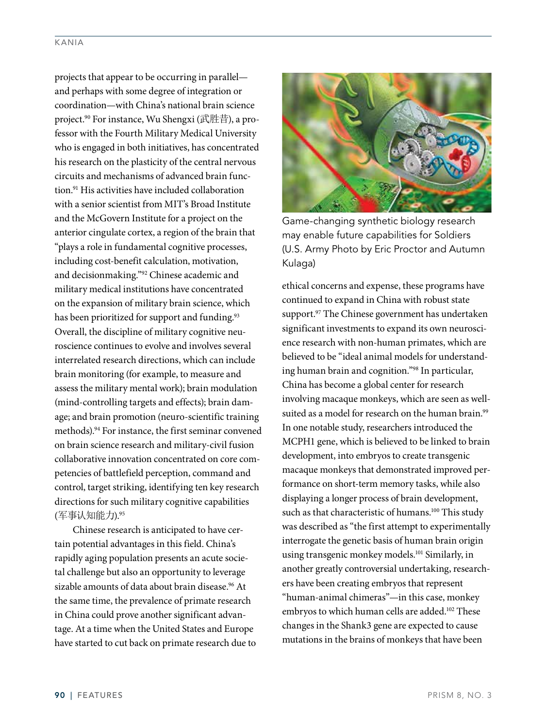projects that appear to be occurring in parallel and perhaps with some degree of integration or coordination—with China's national brain science project.90 For instance, Wu Shengxi (武胜昔), a professor with the Fourth Military Medical University who is engaged in both initiatives, has concentrated his research on the plasticity of the central nervous circuits and mechanisms of advanced brain function.91 His activities have included collaboration with a senior scientist from MIT's Broad Institute and the McGovern Institute for a project on the anterior cingulate cortex, a region of the brain that "plays a role in fundamental cognitive processes, including cost-benefit calculation, motivation, and decisionmaking."92 Chinese academic and military medical institutions have concentrated on the expansion of military brain science, which has been prioritized for support and funding.<sup>93</sup> Overall, the discipline of military cognitive neuroscience continues to evolve and involves several interrelated research directions, which can include brain monitoring (for example, to measure and assess the military mental work); brain modulation (mind-controlling targets and effects); brain damage; and brain promotion (neuro-scientific training methods).94 For instance, the first seminar convened on brain science research and military-civil fusion collaborative innovation concentrated on core competencies of battlefield perception, command and control, target striking, identifying ten key research directions for such military cognitive capabilities (军事认知能力).95

Chinese research is anticipated to have certain potential advantages in this field. China's rapidly aging population presents an acute societal challenge but also an opportunity to leverage sizable amounts of data about brain disease.<sup>96</sup> At the same time, the prevalence of primate research in China could prove another significant advantage. At a time when the United States and Europe have started to cut back on primate research due to



Game-changing synthetic biology research may enable future capabilities for Soldiers (U.S. Army Photo by Eric Proctor and Autumn Kulaga)

ethical concerns and expense, these programs have continued to expand in China with robust state support.<sup>97</sup> The Chinese government has undertaken significant investments to expand its own neuroscience research with non-human primates, which are believed to be "ideal animal models for understanding human brain and cognition."98 In particular, China has become a global center for research involving macaque monkeys, which are seen as wellsuited as a model for research on the human brain.<sup>99</sup> In one notable study, researchers introduced the MCPH1 gene, which is believed to be linked to brain development, into embryos to create transgenic macaque monkeys that demonstrated improved performance on short-term memory tasks, while also displaying a longer process of brain development, such as that characteristic of humans.<sup>100</sup> This study was described as "the first attempt to experimentally interrogate the genetic basis of human brain origin using transgenic monkey models.<sup>101</sup> Similarly, in another greatly controversial undertaking, researchers have been creating embryos that represent "human-animal chimeras"—in this case, monkey embryos to which human cells are added.<sup>102</sup> These changes in the Shank3 gene are expected to cause mutations in the brains of monkeys that have been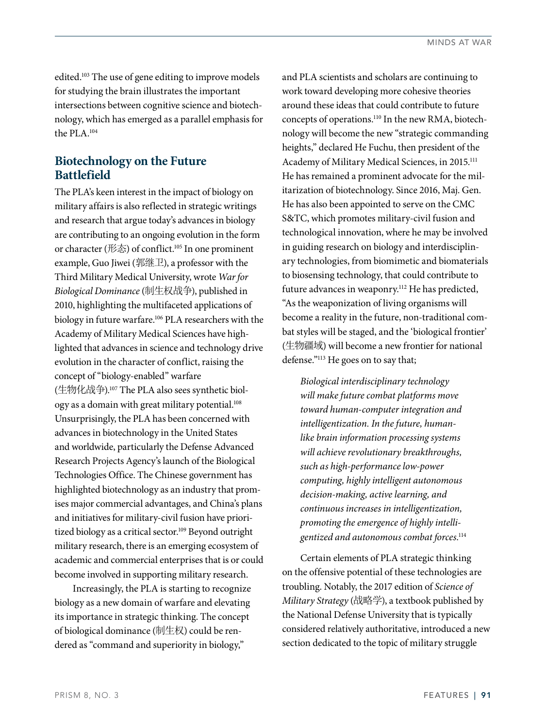edited.<sup>103</sup> The use of gene editing to improve models for studying the brain illustrates the important intersections between cognitive science and biotechnology, which has emerged as a parallel emphasis for the PLA.104

## **Biotechnology on the Future Battlefield**

The PLA's keen interest in the impact of biology on military affairs is also reflected in strategic writings and research that argue today's advances in biology are contributing to an ongoing evolution in the form or character (形态) of conflict.<sup>105</sup> In one prominent example, Guo Jiwei (郭继卫), a professor with the Third Military Medical University, wrote *War for Biological Dominance* (制生权战争), published in 2010, highlighting the multifaceted applications of biology in future warfare.<sup>106</sup> PLA researchers with the Academy of Military Medical Sciences have highlighted that advances in science and technology drive evolution in the character of conflict, raising the concept of "biology-enabled" warfare (生物化战争).107 The PLA also sees synthetic biology as a domain with great military potential.108 Unsurprisingly, the PLA has been concerned with advances in biotechnology in the United States and worldwide, particularly the Defense Advanced Research Projects Agency's launch of the Biological Technologies Office. The Chinese government has highlighted biotechnology as an industry that promises major commercial advantages, and China's plans and initiatives for military-civil fusion have prioritized biology as a critical sector.<sup>109</sup> Beyond outright military research, there is an emerging ecosystem of academic and commercial enterprises that is or could become involved in supporting military research.

Increasingly, the PLA is starting to recognize biology as a new domain of warfare and elevating its importance in strategic thinking. The concept of biological dominance (制生权) could be rendered as "command and superiority in biology,"

and PLA scientists and scholars are continuing to work toward developing more cohesive theories around these ideas that could contribute to future concepts of operations.110 In the new RMA, biotechnology will become the new "strategic commanding heights," declared He Fuchu, then president of the Academy of Military Medical Sciences, in 2015.111 He has remained a prominent advocate for the militarization of biotechnology. Since 2016, Maj. Gen. He has also been appointed to serve on the CMC S&TC, which promotes military-civil fusion and technological innovation, where he may be involved in guiding research on biology and interdisciplinary technologies, from biomimetic and biomaterials to biosensing technology, that could contribute to future advances in weaponry.<sup>112</sup> He has predicted, "As the weaponization of living organisms will become a reality in the future, non-traditional combat styles will be staged, and the 'biological frontier' (生物疆域) will become a new frontier for national defense."113 He goes on to say that;

*Biological interdisciplinary technology will make future combat platforms move toward human-computer integration and intelligentization. In the future, humanlike brain information processing systems will achieve revolutionary breakthroughs, such as high-performance low-power computing, highly intelligent autonomous decision-making, active learning, and continuous increases in intelligentization, promoting the emergence of highly intelligentized and autonomous combat forces*. 114

Certain elements of PLA strategic thinking on the offensive potential of these technologies are troubling. Notably, the 2017 edition of *Science of Military Strategy* (战略学), a textbook published by the National Defense University that is typically considered relatively authoritative, introduced a new section dedicated to the topic of military struggle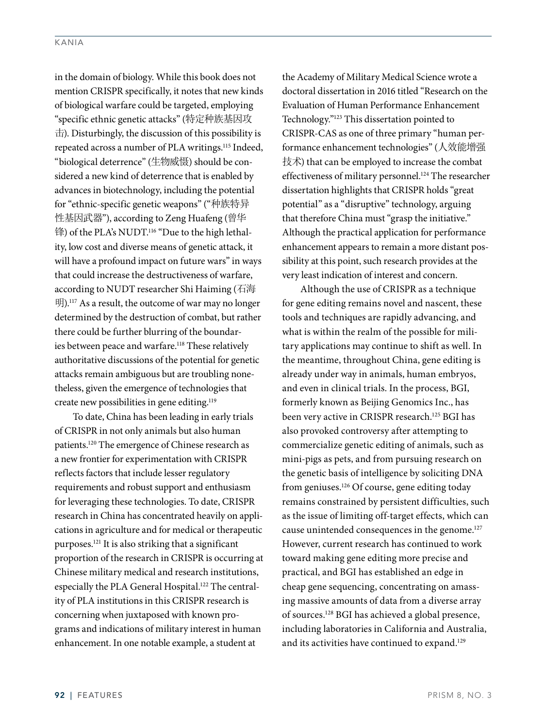in the domain of biology. While this book does not mention CRISPR specifically, it notes that new kinds of biological warfare could be targeted, employing "specific ethnic genetic attacks" (特定种族基因攻  $\pm$ ). Disturbingly, the discussion of this possibility is repeated across a number of PLA writings.<sup>115</sup> Indeed, "biological deterrence" (生物威慑) should be considered a new kind of deterrence that is enabled by advances in biotechnology, including the potential for "ethnic-specific genetic weapons" ("种族特异 性基因武器"), according to Zeng Huafeng (曾华 锋) of the PLA's NUDT.<sup>116</sup> "Due to the high lethality, low cost and diverse means of genetic attack, it will have a profound impact on future wars" in ways that could increase the destructiveness of warfare, according to NUDT researcher Shi Haiming (石海 明).117 As a result, the outcome of war may no longer determined by the destruction of combat, but rather there could be further blurring of the boundaries between peace and warfare.<sup>118</sup> These relatively authoritative discussions of the potential for genetic attacks remain ambiguous but are troubling nonetheless, given the emergence of technologies that create new possibilities in gene editing.119

To date, China has been leading in early trials of CRISPR in not only animals but also human patients.120 The emergence of Chinese research as a new frontier for experimentation with CRISPR reflects factors that include lesser regulatory requirements and robust support and enthusiasm for leveraging these technologies. To date, CRISPR research in China has concentrated heavily on applications in agriculture and for medical or therapeutic purposes.121 It is also striking that a significant proportion of the research in CRISPR is occurring at Chinese military medical and research institutions, especially the PLA General Hospital.<sup>122</sup> The centrality of PLA institutions in this CRISPR research is concerning when juxtaposed with known programs and indications of military interest in human enhancement. In one notable example, a student at

the Academy of Military Medical Science wrote a doctoral dissertation in 2016 titled "Research on the Evaluation of Human Performance Enhancement Technology."123 This dissertation pointed to CRISPR-CAS as one of three primary "human performance enhancement technologies" (人效能增强 技术) that can be employed to increase the combat effectiveness of military personnel.<sup>124</sup> The researcher dissertation highlights that CRISPR holds "great potential" as a "disruptive" technology, arguing that therefore China must "grasp the initiative." Although the practical application for performance enhancement appears to remain a more distant possibility at this point, such research provides at the very least indication of interest and concern.

Although the use of CRISPR as a technique for gene editing remains novel and nascent, these tools and techniques are rapidly advancing, and what is within the realm of the possible for military applications may continue to shift as well. In the meantime, throughout China, gene editing is already under way in animals, human embryos, and even in clinical trials. In the process, BGI, formerly known as Beijing Genomics Inc., has been very active in CRISPR research.125 BGI has also provoked controversy after attempting to commercialize genetic editing of animals, such as mini-pigs as pets, and from pursuing research on the genetic basis of intelligence by soliciting DNA from geniuses.126 Of course, gene editing today remains constrained by persistent difficulties, such as the issue of limiting off-target effects, which can cause unintended consequences in the genome.127 However, current research has continued to work toward making gene editing more precise and practical, and BGI has established an edge in cheap gene sequencing, concentrating on amassing massive amounts of data from a diverse array of sources.128 BGI has achieved a global presence, including laboratories in California and Australia, and its activities have continued to expand.<sup>129</sup>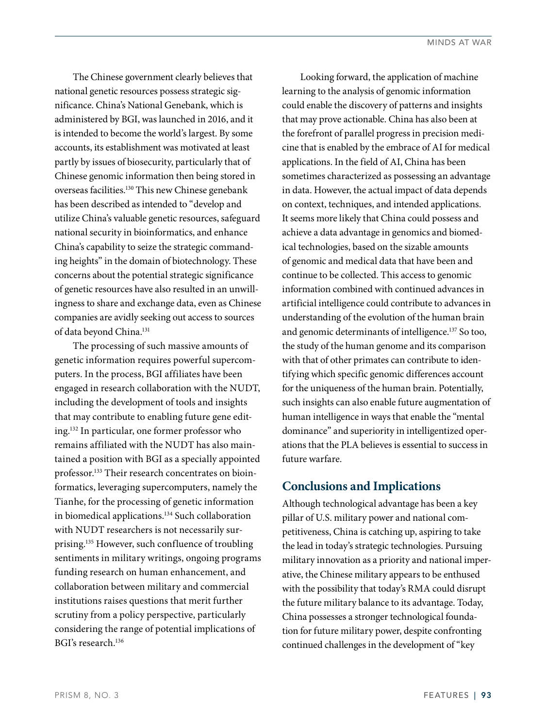The Chinese government clearly believes that national genetic resources possess strategic significance. China's National Genebank, which is administered by BGI, was launched in 2016, and it is intended to become the world's largest. By some accounts, its establishment was motivated at least partly by issues of biosecurity, particularly that of Chinese genomic information then being stored in overseas facilities.130 This new Chinese genebank has been described as intended to "develop and utilize China's valuable genetic resources, safeguard national security in bioinformatics, and enhance China's capability to seize the strategic commanding heights" in the domain of biotechnology. These concerns about the potential strategic significance of genetic resources have also resulted in an unwillingness to share and exchange data, even as Chinese companies are avidly seeking out access to sources of data beyond China.131

The processing of such massive amounts of genetic information requires powerful supercomputers. In the process, BGI affiliates have been engaged in research collaboration with the NUDT, including the development of tools and insights that may contribute to enabling future gene editing.132 In particular, one former professor who remains affiliated with the NUDT has also maintained a position with BGI as a specially appointed professor.<sup>133</sup> Their research concentrates on bioinformatics, leveraging supercomputers, namely the Tianhe, for the processing of genetic information in biomedical applications.134 Such collaboration with NUDT researchers is not necessarily surprising.135 However, such confluence of troubling sentiments in military writings, ongoing programs funding research on human enhancement, and collaboration between military and commercial institutions raises questions that merit further scrutiny from a policy perspective, particularly considering the range of potential implications of BGI's research.136

Looking forward, the application of machine learning to the analysis of genomic information could enable the discovery of patterns and insights that may prove actionable. China has also been at the forefront of parallel progress in precision medicine that is enabled by the embrace of AI for medical applications. In the field of AI, China has been sometimes characterized as possessing an advantage in data. However, the actual impact of data depends on context, techniques, and intended applications. It seems more likely that China could possess and achieve a data advantage in genomics and biomedical technologies, based on the sizable amounts of genomic and medical data that have been and continue to be collected. This access to genomic information combined with continued advances in artificial intelligence could contribute to advances in understanding of the evolution of the human brain and genomic determinants of intelligence.137 So too, the study of the human genome and its comparison with that of other primates can contribute to identifying which specific genomic differences account for the uniqueness of the human brain. Potentially, such insights can also enable future augmentation of human intelligence in ways that enable the "mental dominance" and superiority in intelligentized operations that the PLA believes is essential to success in future warfare.

#### **Conclusions and Implications**

Although technological advantage has been a key pillar of U.S. military power and national competitiveness, China is catching up, aspiring to take the lead in today's strategic technologies. Pursuing military innovation as a priority and national imperative, the Chinese military appears to be enthused with the possibility that today's RMA could disrupt the future military balance to its advantage. Today, China possesses a stronger technological foundation for future military power, despite confronting continued challenges in the development of "key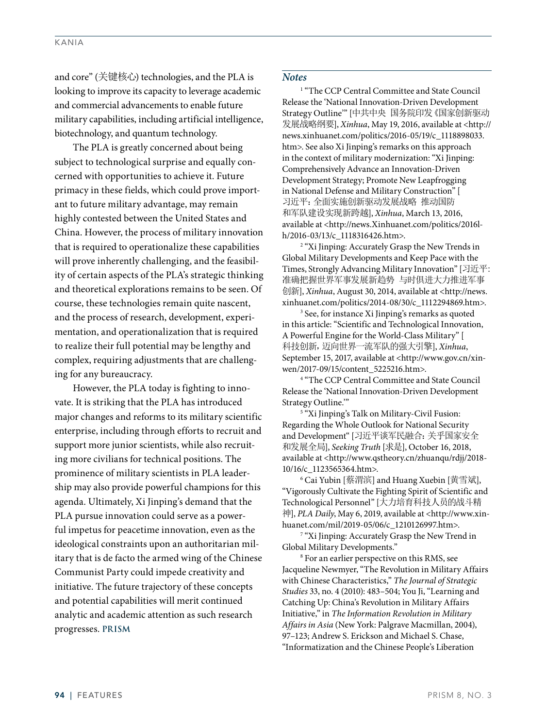and core" (关键核心) technologies, and the PLA is looking to improve its capacity to leverage academic and commercial advancements to enable future military capabilities, including artificial intelligence, biotechnology, and quantum technology.

The PLA is greatly concerned about being subject to technological surprise and equally concerned with opportunities to achieve it. Future primacy in these fields, which could prove important to future military advantage, may remain highly contested between the United States and China. However, the process of military innovation that is required to operationalize these capabilities will prove inherently challenging, and the feasibility of certain aspects of the PLA's strategic thinking and theoretical explorations remains to be seen. Of course, these technologies remain quite nascent, and the process of research, development, experimentation, and operationalization that is required to realize their full potential may be lengthy and complex, requiring adjustments that are challenging for any bureaucracy.

However, the PLA today is fighting to innovate. It is striking that the PLA has introduced major changes and reforms to its military scientific enterprise, including through efforts to recruit and support more junior scientists, while also recruiting more civilians for technical positions. The prominence of military scientists in PLA leadership may also provide powerful champions for this agenda. Ultimately, Xi Jinping's demand that the PLA pursue innovation could serve as a powerful impetus for peacetime innovation, even as the ideological constraints upon an authoritarian military that is de facto the armed wing of the Chinese Communist Party could impede creativity and initiative. The future trajectory of these concepts and potential capabilities will merit continued analytic and academic attention as such research progresses. **PRISM**

#### *Notes*

<sup>1</sup> "The CCP Central Committee and State Council Release the 'National Innovation-Driven Development Strategy Outline'" [中共中央 国务院印发《国家创新驱动 发展战略纲要], *Xinhua*, May 19, 2016, available at <http:// news.xinhuanet.com/politics/2016-05/19/c\_1118898033. htm>. See also Xi Jinping's remarks on this approach in the context of military modernization: "Xi Jinping: Comprehensively Advance an Innovation-Driven Development Strategy; Promote New Leapfrogging in National Defense and Military Construction" [ 习近平:全面实施创新驱动发展战略 推动国防 和军队建设实现新跨越], *Xinhua*, March 13, 2016, available at <http://news.Xinhuanet.com/politics/2016lh/2016-03/13/c\_1118316426.htm>. 2

<sup>2</sup> "Xi Jinping: Accurately Grasp the New Trends in Global Military Developments and Keep Pace with the Times, Strongly Advancing Military Innovation" [习近平: 准确把握世界军事发展新趋势 与时俱进大力推进军事 创新], *Xinhua*, August 30, 2014, available at <http://news. xinhuanet.com/politics/2014-08/30/c\_1112294869.htm>.

<sup>3</sup> See, for instance Xi Jinping's remarks as quoted in this article: "Scientific and Technological Innovation, A Powerful Engine for the World-Class Military" [ 科技创新,迈向世界一流军队的强大引擎], *Xinhua*, September 15, 2017, available at <http://www.gov.cn/xinwen/2017-09/15/content\_5225216.htm>. 4

<sup>4</sup> "The CCP Central Committee and State Council Release the 'National Innovation-Driven Development Strategy Outline."

<sup>5</sup> "Xi Jinping's Talk on Military-Civil Fusion: Regarding the Whole Outlook for National Security and Development" [习近平谈军民融合:关乎国家安全 和发展全局], *Seeking Truth* [求是], October 16, 2018, available at <http://www.qstheory.cn/zhuanqu/rdjj/2018- 10/16/c\_1123565364.htm>.

6 Cai Yubin [蔡渭滨] and Huang Xuebin [黄雪斌], "Vigorously Cultivate the Fighting Spirit of Scientific and Technological Personnel" [大力培育科技人员的战斗精 神], *PLA Daily*, May 6, 2019, available at <http://www.xinhuanet.com/mil/2019-05/06/c\_1210126997.htm>.

<sup>7</sup> "Xi Jinping: Accurately Grasp the New Trend in Global Military Developments." 8

<sup>8</sup> For an earlier perspective on this RMS, see Jacqueline Newmyer, "The Revolution in Military Affairs with Chinese Characteristics," *The Journal of Strategic Studies* 33, no. 4 (2010): 483–504; You Ji, "Learning and Catching Up: China's Revolution in Military Affairs Initiative," in *The Information Revolution in Military Affairs in Asia* (New York: Palgrave Macmillan, 2004), 97–123; Andrew S. Erickson and Michael S. Chase, "Informatization and the Chinese People's Liberation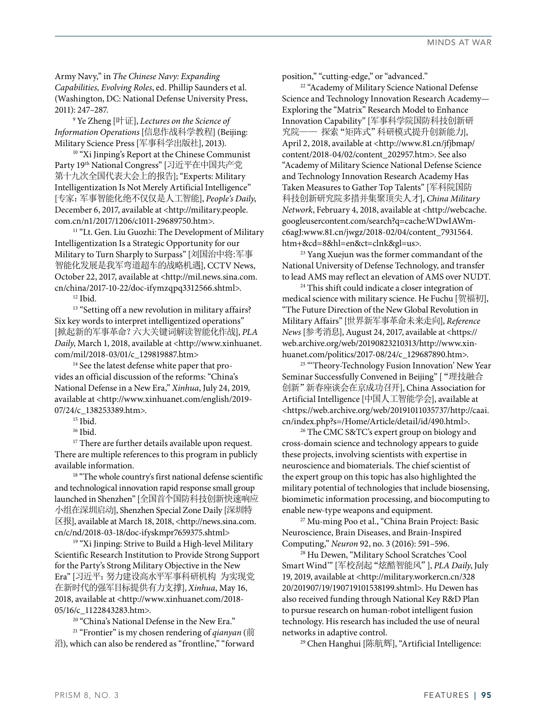Army Navy," in *The Chinese Navy: Expanding Capabilities, Evolving Roles*, ed. Phillip Saunders et al. (Washington, DC: National Defense University Press, 2011): 247–287.

9 Ye Zheng [叶证], *Lectures on the Science of Information Operations* [信息作战科学教程] (Beijing: Military Science Press [军事科学出版社], 2013).

<sup>10</sup> "Xi Jinping's Report at the Chinese Communist Party 19th National Congress" [习近平在中国共产党 第十九次全国代表大会上的报告]; "Experts: Military Intelligentization Is Not Merely Artificial Intelligence" [专家:军事智能化绝不仅仅是人工智能], *People's Daily*, December 6, 2017, available at <http://military.people. com.cn/n1/2017/1206/c1011-29689750.htm>.

<sup>11</sup> "Lt. Gen. Liu Guozhi: The Development of Military Intelligentization Is a Strategic Opportunity for our Military to Turn Sharply to Surpass" [刘国治中将:军事 智能化发展是我军弯道超车的战略机遇], CCTV News, October 22, 2017, available at <http://mil.news.sina.com. cn/china/2017-10-22/doc-ifymzqpq3312566.shtml>. 12 Ibid.

<sup>13</sup> "Setting off a new revolution in military affairs? Six key words to interpret intelligentized operations" [掀起新的军事革命?六大关键词解读智能化作战], *PLA Daily*, March 1, 2018, available at <http://www.xinhuanet. com/mil/2018-03/01/c\_129819887.htm>

<sup>14</sup> See the latest defense white paper that provides an official discussion of the reforms: "China's National Defense in a New Era," *Xinhua*, July 24, 2019, available at <http://www.xinhuanet.com/english/2019- 07/24/c\_138253389.htm>.

<sup>16</sup> Ibid.

 $^{\rm 17}$  There are further details available upon request. There are multiple references to this program in publicly available information.

 $^{\rm 18}$  "The whole country's first national defense scientific and technological innovation rapid response small group launched in Shenzhen" [全国首个国防科技创新快速响应 小组在深圳启动], Shenzhen Special Zone Daily [深圳特 区报], available at March 18, 2018, <http://news.sina.com. cn/c/nd/2018-03-18/doc-ifyskmpr7659375.shtml>

<sup>19</sup> "Xi Jinping: Strive to Build a High-level Military Scientific Research Institution to Provide Strong Support for the Party's Strong Military Objective in the New Era" [习近平:努力建设高水平军事科研机构 为实现党 在新时代的强军目标提供有力支撑], *Xinhua*, May 16, 2018, available at <http://www.xinhuanet.com/2018- 05/16/c\_1122843283.htm>.

<sup>20</sup> "China's National Defense in the New Era."

21 "Frontier" is my chosen rendering of *qianyan* (前 沿), which can also be rendered as "frontline," "forward

position," "cutting-edge," or "advanced." 22 "Academy of Military Science National Defense Science and Technology Innovation Research Academy— Exploring the "Matrix" Research Model to Enhance Innovation Capability" [军事科学院国防科技创新研 究院—— 探索"矩阵式"科研模式提升创新能力], April 2, 2018, available at <http://www.81.cn/jfjbmap/ content/2018-04/02/content\_202957.htm>. See also "Academy of Military Science National Defense Science and Technology Innovation Research Academy Has Taken Measures to Gather Top Talents" [军科院国防 科技创新研究院多措并集聚顶尖人才], *China Military Network*, February 4, 2018, available at <http://webcache. googleusercontent.com/search?q=cache:WDwIAWmc6agJ:www.81.cn/jwgz/2018-02/04/content\_7931564. htm+&cd=8&hl=en&ct=clnk&gl=us>. 23 Yang Xuejun was the former commandant of the

National University of Defense Technology, and transfer to lead AMS may reflect an elevation of AMS over NUDT.<br><sup>24</sup> This shift could indicate a closer integration of

medical science with military science. He Fuchu [贺福初], "The Future Direction of the New Global Revolution in Military Affairs" [世界新军事革命未来走向], *Reference News* [参考消息], August 24, 2017, available at <https:// web.archive.org/web/20190823210313/http://www.xinhuanet.com/politics/2017-08/24/c\_129687890.htm>.

<sup>25</sup> "Theory-Technology Fusion Innovation' New Year Seminar Successfully Convened in Beijing" ["理技融合 创新"新春座谈会在京成功召开], China Association for Artificial Intelligence [中国人工智能学会], available at <https://web.archive.org/web/20191011035737/http://caai. cn/index.php?s=/Home/Article/detail/id/490.html>.

<sup>26</sup> The CMC S&TC's expert group on biology and cross-domain science and technology appears to guide these projects, involving scientists with expertise in neuroscience and biomaterials. The chief scientist of the expert group on this topic has also highlighted the military potential of technologies that include biosensing, biomimetic information processing, and biocomputing to enable new-type weapons and equipment. 27 Mu-ming Poo et al., "China Brain Project: Basic

Neuroscience, Brain Diseases, and Brain-Inspired Computing," *Neuron* 92, no. 3 (2016): 591–596.

28 Hu Dewen, "Military School Scratches 'Cool Smart Wind'" [军校刮起"炫酷智能风"], *PLA Daily*, July 19, 2019, available at <http://military.workercn.cn/328 20/201907/19/190719101538199.shtml>. Hu Dewen has also received funding through National Key R&D Plan to pursue research on human-robot intelligent fusion technology. His research has included the use of neural networks in adaptive control.<br><sup>29</sup> Chen Hanghui [陈航辉], "Artificial Intelligence: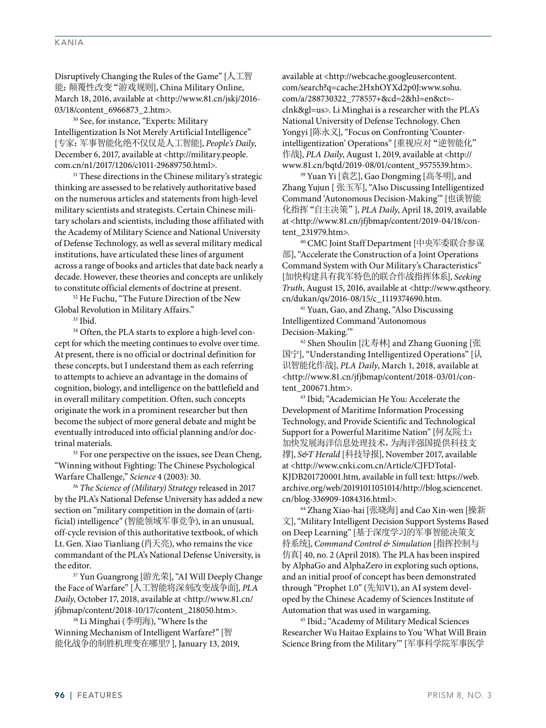#### KANIA

Disruptively Changing the Rules of the Game" [人工智 能:颠覆性改变"游戏规则], China Military Online, March 18, 2016, available at <http://www.81.cn/jskj/2016- 03/18/content\_6966873\_2.htm>.<br><sup>30</sup> See, for instance, "Experts: Military

Intelligentization Is Not Merely Artificial Intelligence" [专家:军事智能化绝不仅仅是人工智能], *People's Daily*, December 6, 2017, available at <http://military.people. com.cn/n1/2017/1206/c1011-29689750.html>.<br><sup>31</sup> These directions in the Chinese military's strategic

thinking are assessed to be relatively authoritative based on the numerous articles and statements from high-level military scientists and strategists. Certain Chinese military scholars and scientists, including those affiliated with the Academy of Military Science and National University of Defense Technology, as well as several military medical institutions, have articulated these lines of argument across a range of books and articles that date back nearly a decade. However, these theories and concepts are unlikely to constitute official elements of doctrine at present.

<sup>32</sup> He Fuchu, "The Future Direction of the New Global Revolution in Military Affairs." 33 Ibid.

<sup>34</sup> Often, the PLA starts to explore a high-level concept for which the meeting continues to evolve over time. At present, there is no official or doctrinal definition for these concepts, but I understand them as each referring to attempts to achieve an advantage in the domains of cognition, biology, and intelligence on the battlefield and in overall military competition. Often, such concepts originate the work in a prominent researcher but then become the subject of more general debate and might be eventually introduced into official planning and/or doctrinal materials.

<sup>35</sup> For one perspective on the issues, see Dean Cheng, "Winning without Fighting: The Chinese Psychological Warfare Challenge," *Science* 4 (2003): 30.

<sup>36</sup> *The Science of (Military) Strategy* released in 2017 by the PLA's National Defense University has added a new section on "military competition in the domain of (artificial) intelligence" (智能领域军事竞争), in an unusual, off-cycle revision of this authoritative textbook, of which Lt. Gen. Xiao Tianliang (肖天亮), who remains the vice commandant of the PLA's National Defense University, is the editor.

37 Yun Guangrong [游光荣], "AI Will Deeply Change the Face of Warfare" [人工智能将深刻改变战争面], *PLA Daily*, October 17, 2018, available at <http://www.81.cn/ jfjbmap/content/2018-10/17/content\_218050.htm>. 38 Li Minghai (李明海), "Where Is the

Winning Mechanism of Intelligent Warfare?" [智 能化战争的制胜机理变在哪里? ], January 13, 2019, available at <http://webcache.googleusercontent. com/search?q=cache:2HxhOYXd2p0J:www.sohu. com/a/288730322\_778557+&cd=2&hl=en&ct= clnk&gl=us>. Li Minghai is a researcher with the PLA's National University of Defense Technology. Chen Yongyi [陈永义], "Focus on Confronting 'Counterintelligentization' Operations" [重视应对"逆智能化" 作战], *PLA Daily*, August 1, 2019, available at <http:// www.81.cn/bqtd/2019-08/01/content\_9575539.htm>.

39 Yuan Yi [袁艺], Gao Dongming [高冬明], and Zhang Yujun [ 张玉军], "Also Discussing Intelligentized Command 'Autonomous Decision-Making'" [也谈智能 化指挥"自主决策"], *PLA Daily*, April 18, 2019, available at <http://www.81.cn/jfjbmap/content/2019-04/18/content\_231979.htm>.

40 CMC Joint Staff Department [中央军委联合参谋 部], "Accelerate the Construction of a Joint Operations Command System with Our Military's Characteristics" [加快构建具有我军特色的联合作战指挥体系], *Seeking Truth*, August 15, 2016, available at <http://www.qstheory. cn/dukan/qs/2016-08/15/c\_1119374690.htm. 41 Yuan, Gao, and Zhang, "Also Discussing

Intelligentized Command 'Autonomous Decision-Making.'"

42 Shen Shoulin [沈寿林] and Zhang Guoning [张 国宁], "Understanding Intelligentized Operations" [认 识智能化作战], *PLA Daily*, March 1, 2018, available at <http://www.81.cn/jfjbmap/content/2018-03/01/content\_200671.htm>.

43 Ibid; "Academician He You: Accelerate the Development of Maritime Information Processing Technology, and Provide Scientific and Technological Support for a Powerful Maritime Nation" [何友院士: 加快发展海洋信息处理技术,为海洋强国提供科技支 撑], *S&T Herald* [科技导报], November 2017, available at <http://www.cnki.com.cn/Article/CJFDTotal-KJDB201720001.htm, available in full text: https://web. archive.org/web/20191011051014/http://blog.sciencenet. cn/blog-336909-1084316.html>. 44 Zhang Xiao-hai [张晓海] and Cao Xin-wen [操新

文], "Military Intelligent Decision Support Systems Based on Deep Learning" [基于深度学习的军事智能决策支 持系统], *Command Control & Simulation* [指挥控制与 仿真] 40, no. 2 (April 2018). The PLA has been inspired by AlphaGo and AlphaZero in exploring such options, and an initial proof of concept has been demonstrated through "Prophet 1.0" (先知V1), an AI system developed by the Chinese Academy of Sciences Institute of

Automation that was used in wargaming. 45 Ibid.; "Academy of Military Medical Sciences Researcher Wu Haitao Explains to You 'What Will Brain Science Bring from the Military'" [军事科学院军事医学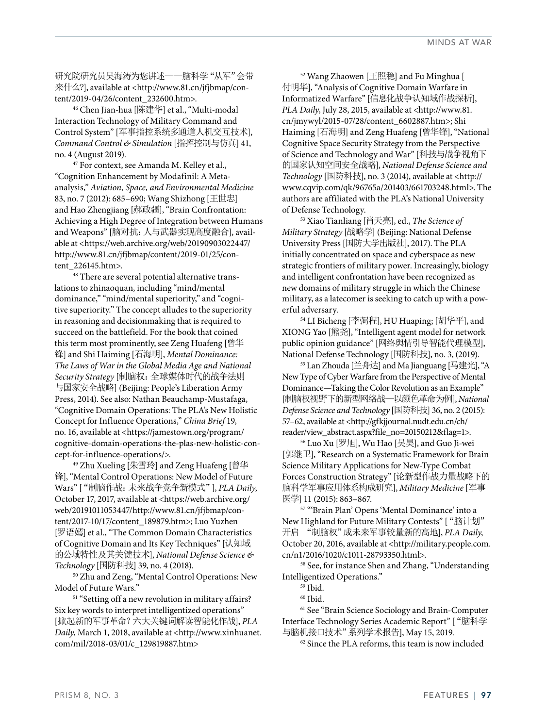研究院研究员吴海涛为您讲述——脑科学"从军"会带 来什么?], available at <http://www.81.cn/jfjbmap/content/2019-04/26/content\_232600.htm>.

46 Chen Jian-hua [陈建华] et al., "Multi-modal Interaction Technology of Military Command and Control System" [军事指控系统多通道人机交互技术], *Command Control & Simulation* [指挥控制与仿真] 41, no. 4 (August 2019).  $47$  For context, see Amanda M. Kelley et al.,

"Cognition Enhancement by Modafinil: A Metaanalysis," *Aviation, Space, and Environmental Medicine* 83, no. 7 (2012): 685–690; Wang Shizhong [王世忠] and Hao Zhengjiang [郝政疆], "Brain Confrontation: Achieving a High Degree of Integration between Humans and Weapons" [脑对抗:人与武器实现高度融合], available at <https://web.archive.org/web/20190903022447/ http://www.81.cn/jfjbmap/content/2019-01/25/content\_226145.htm>.<br><sup>48</sup> There are several potential alternative trans-

lations to zhinaoquan, including "mind/mental dominance," "mind/mental superiority," and "cognitive superiority." The concept alludes to the superiority in reasoning and decisionmaking that is required to succeed on the battlefield. For the book that coined this term most prominently, see Zeng Huafeng [曾华 锋] and Shi Haiming [石海明], *Mental Dominance: The Laws of War in the Global Media Age and National Security Strategy* [制脑权:全球媒体时代的战争法则 与国家安全战略] (Beijing: People's Liberation Army Press, 2014). See also: Nathan Beauchamp-Mustafaga, "Cognitive Domain Operations: The PLA's New Holistic Concept for Influence Operations," *China Brief* 19, no. 16, available at <https://jamestown.org/program/ cognitive-domain-operations-the-plas-new-holistic-concept-for-influence-operations/>.

49 Zhu Xueling [朱雪玲] and Zeng Huafeng [曾华 锋], "Mental Control Operations: New Model of Future Wars" ["制脑作战:未来战争竞争新模式"], *PLA Daily*, October 17, 2017, available at <https://web.archive.org/ web/20191011053447/http://www.81.cn/jfjbmap/content/2017-10/17/content\_189879.htm>; Luo Yuzhen [罗语嫣] et al., "The Common Domain Characteristics of Cognitive Domain and Its Key Techniques" [认知域 的公域特性及其关键技术], *National Defense Science & Technology* [国防科技] 39, no. 4 (2018).

<sup>50</sup> Zhu and Zeng, "Mental Control Operations: New<br>Model of Future Wars."

<sup>51</sup> "Setting off a new revolution in military affairs? Six key words to interpret intelligentized operations" [掀起新的军事革命?六大关键词解读智能化作战], *PLA Daily*, March 1, 2018, available at <http://www.xinhuanet. com/mil/2018-03/01/c\_129819887.htm>

52 Wang Zhaowen [王照稳] and Fu Minghua [ 付明华], "Analysis of Cognitive Domain Warfare in Informatized Warfare" [信息化战争认知域作战探析], *PLA Daily*, July 28, 2015, available at <http://www.81. cn/jmywyl/2015-07/28/content\_6602887.htm>; Shi Haiming [石海明] and Zeng Huafeng [曾华锋], "National Cognitive Space Security Strategy from the Perspective of Science and Technology and War" [科技与战争视角下 的国家认知空间安全战略], *National Defense Science and Technology* [国防科技], no. 3 (2014), available at <http:// www.cqvip.com/qk/96765a/201403/661703248.html>. The authors are affiliated with the PLA's National University of Defense Technology.

53 Xiao Tianliang [肖天亮], ed., *The Science of Military Strategy* [战略学] (Beijing: National Defense University Press [国防大学出版社], 2017). The PLA initially concentrated on space and cyberspace as new strategic frontiers of military power. Increasingly, biology and intelligent confrontation have been recognized as new domains of military struggle in which the Chinese military, as a latecomer is seeking to catch up with a powerful adversary.

54 LI Bicheng [李弼程], HU Huaping; [胡华平], and XIONG Yao [熊尧], "Intelligent agent model for network public opinion guidance" [网络舆情引导智能代理模型], National Defense Technology [国防科技], no. 3, (2019).

55 Lan Zhouda [兰舟达] and Ma Jianguang [马建光], "A New Type of Cyber Warfare from the Perspective of Mental Dominance—Taking the Color Revolution as an Example" [制脑权视野下的新型网络战—以颜色革命为例], *National Defense Science and Technology* [国防科技] 36, no. 2 (2015): 57–62, available at <http://gfkjjournal.nudt.edu.cn/ch/ reader/view\_abstract.aspx?file\_no=20150212&flag=1>.

56 Luo Xu [罗旭], Wu Hao [吴昊], and Guo Ji-wei [郭继卫], "Research on a Systematic Framework for Brain Science Military Applications for New-Type Combat Forces Construction Strategy" [论新型作战力量战略下的 脑科学军事应用体系构成研究], *Military Medicine* [军事 医学] 11 (2015): 863–867.

57 "'Brain Plan' Opens 'Mental Dominance' into a New Highland for Future Military Contests" ["脑计划" 开启 "制脑权"成未来军事较量新的高地], *PLA Daily*, October 20, 2016, available at <http://military.people.com. cn/n1/2016/1020/c1011-28793350.html>.

58 See, for instance Shen and Zhang, "Understanding Intelligentized Operations." 59 Ibid.

60 Ibid.

<sup>61</sup> See "Brain Science Sociology and Brain-Computer Interface Technology Series Academic Report" ["脑科学 与脑机接口技术"系列学术报告], May 15, 2019.

 $62$  Since the PLA reforms, this team is now included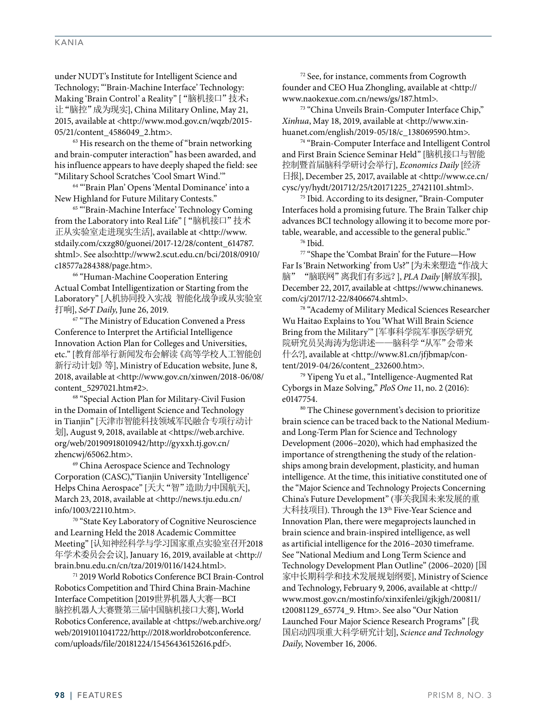under NUDT's Institute for Intelligent Science and Technology; "'Brain-Machine Interface' Technology: Making 'Brain Control' a Reality" ["脑机接口"技术: 让"脑控"成为现实], China Military Online, May 21, 2015, available at <http://www.mod.gov.cn/wqzb/2015- 05/21/content\_4586049\_2.htm>.

 $63$  His research on the theme of "brain networking" and brain-computer interaction" has been awarded, and his influence appears to have deeply shaped the field: see

"Military School Scratches 'Cool Smart Wind.'" 64 "'Brain Plan' Opens 'Mental Dominance' into a New Highland for Future Military Contests." 65 "'Brain-Machine Interface' Technology Coming

from the Laboratory into Real Life" ["脑机接口"技术 正从实验室走进现实生活], available at <http://www. stdaily.com/cxzg80/guonei/2017-12/28/content\_614787. shtml>. See also:http://www2.scut.edu.cn/bci/2018/0910/ c18577a284388/page.htm>.

66 "Human-Machine Cooperation Entering Actual Combat Intelligentization or Starting from the Laboratory" [人机协同投入实战 智能化战争或从实验室 打响], *S&T Daily*, June 26, 2019.

<sup>67</sup> "The Ministry of Education Convened a Press Conference to Interpret the Artificial Intelligence Innovation Action Plan for Colleges and Universities, etc." [教育部举行新闻发布会解读《高等学校人工智能创 新行动计划》等], Ministry of Education website, June 8, 2018, available at <http://www.gov.cn/xinwen/2018-06/08/ content\_5297021.htm#2>.

68 "Special Action Plan for Military-Civil Fusion in the Domain of Intelligent Science and Technology in Tianjin" [天津市智能科技领域军民融合专项行动计 划], August 9, 2018, available at <https://web.archive. org/web/20190918010942/http://gyxxh.tj.gov.cn/ zhencwj/65062.htm>.

69 China Aerospace Science and Technology Corporation (CASC),"Tianjin University 'Intelligence' Helps China Aerospace" [天大"智"造助力中国航天], March 23, 2018, available at <http://news.tju.edu.cn/ info/1003/22110.htm>.

70 "State Key Laboratory of Cognitive Neuroscience and Learning Held the 2018 Academic Committee Meeting" [认知神经科学与学习国家重点实验室召开2018 年学术委员会会议], January 16, 2019, available at <http:// brain.bnu.edu.cn/cn/tza/2019/0116/1424.html>.

71 2019 World Robotics Conference BCI Brain-Control Robotics Competition and Third China Brain-Machine Interface Competition [2019世界机器人大赛—BCI 脑控机器人大赛暨第三届中国脑机接口大赛], World Robotics Conference, available at <https://web.archive.org/ web/20191011041722/http://2018.worldrobotconference. com/uploads/file/20181224/15456436152616.pdf>.

72 See, for instance, comments from Cogrowth founder and CEO Hua Zhongling, available at <http:// www.naokexue.com.cn/news/gs/187.html>.

73 "China Unveils Brain-Computer Interface Chip," *Xinhua*, May 18, 2019, available at <http://www.xinhuanet.com/english/2019-05/18/c\_138069590.htm>.

74 "Brain-Computer Interface and Intelligent Control and First Brain Science Seminar Held" [脑机接口与智能 控制暨首届脑科学研讨会举行], *Economics Daily* [经济 日报], December 25, 2017, available at <http://www.ce.cn/ cysc/yy/hydt/201712/25/t20171225\_27421101.shtml>.

75 Ibid. According to its designer, "Brain-Computer Interfaces hold a promising future. The Brain Talker chip advances BCI technology allowing it to become more portable, wearable, and accessible to the general public."

76 Ibid.

77 "Shape the 'Combat Brain' for the Future—How Far Is 'Brain Networking' from Us?" [为未来塑造"作战大 脑""脑联网"离我们有多远?], *PLA Daily* [解放军报], December 22, 2017, available at <https://www.chinanews. com/cj/2017/12-22/8406674.shtml>.

78 "Academy of Military Medical Sciences Researcher Wu Haitao Explains to You 'What Will Brain Science Bring from the Military'" [军事科学院军事医学研究 院研究员吴海涛为您讲述——脑科学"从军"会带来 什么?], available at <http://www.81.cn/jfjbmap/con-

tent/2019-04/26/content\_232600.htm>. 79 Yipeng Yu et al., "Intelligence-Augmented Rat Cyborgs in Maze Solving," *PloS One* 11, no. 2 (2016): e0147754.

<sup>80</sup> The Chinese government's decision to prioritize brain science can be traced back to the National Mediumand Long-Term Plan for Science and Technology Development (2006–2020), which had emphasized the importance of strengthening the study of the relationships among brain development, plasticity, and human intelligence. At the time, this initiative constituted one of the "Major Science and Technology Projects Concerning China's Future Development" (事关我国未来发展的重 大科技项目). Through the 13<sup>th</sup> Five-Year Science and Innovation Plan, there were megaprojects launched in brain science and brain-inspired intelligence, as well as artificial intelligence for the 2016–2030 timeframe. See "National Medium and Long Term Science and Technology Development Plan Outline" (2006–2020) [国 家中长期科学和技术发展规划纲要], Ministry of Science and Technology, February 9, 2006, available at <http:// www.most.gov.cn/mostinfo/xinxifenlei/gjkjgh/200811/ t20081129\_65774\_9. Htm>. See also "Our Nation Launched Four Major Science Research Programs" [我 国启动四项重大科学研究计划], *Science and Technology Daily*, November 16, 2006.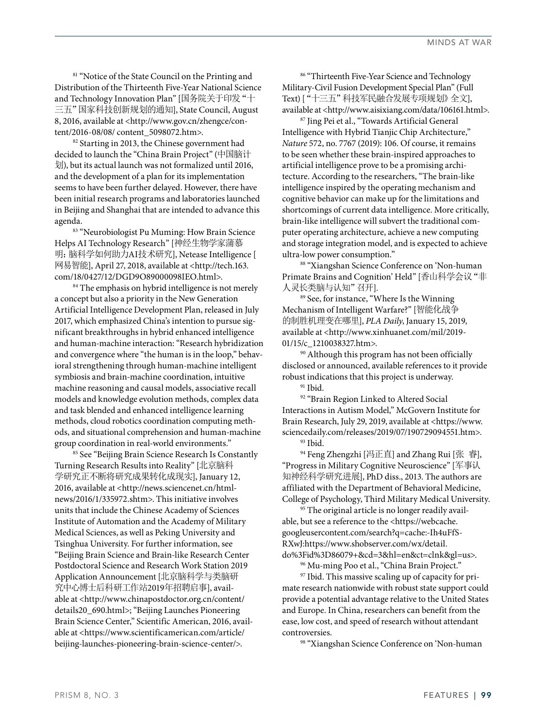<sup>81</sup> "Notice of the State Council on the Printing and Distribution of the Thirteenth Five-Year National Science and Technology Innovation Plan" [国务院关于印发"十 三五"国家科技创新规划的通知], State Council, August 8, 2016, available at <http://www.gov.cn/zhengce/content/2016-08/08/ content\_5098072.htm>.

<sup>82</sup> Starting in 2013, the Chinese government had decided to launch the "China Brain Project" (中国脑计 划), but its actual launch was not formalized until 2016, and the development of a plan for its implementation seems to have been further delayed. However, there have been initial research programs and laboratories launched in Beijing and Shanghai that are intended to advance this agenda.

83 "Neurobiologist Pu Muming: How Brain Science Helps AI Technology Research" [神经生物学家蒲慕 明:脑科学如何助力AI技术研究], Netease Intelligence [ 网易智能], April 27, 2018, available at <http://tech.163. com/18/0427/12/DGD9O89000098IEO.html>.

<sup>84</sup> The emphasis on hybrid intelligence is not merely a concept but also a priority in the New Generation Artificial Intelligence Development Plan, released in July 2017, which emphasized China's intention to pursue significant breakthroughs in hybrid enhanced intelligence and human-machine interaction: "Research hybridization and convergence where "the human is in the loop," behavioral strengthening through human-machine intelligent symbiosis and brain-machine coordination, intuitive machine reasoning and causal models, associative recall models and knowledge evolution methods, complex data and task blended and enhanced intelligence learning methods, cloud robotics coordination computing methods, and situational comprehension and human-machine group coordination in real-world environments."

85 See "Beijing Brain Science Research Is Constantly Turning Research Results into Reality" [北京脑科 学研究正不断将研究成果转化成现实], January 12, 2016, available at <http://news.sciencenet.cn/htmlnews/2016/1/335972.shtm>. This initiative involves units that include the Chinese Academy of Sciences Institute of Automation and the Academy of Military Medical Sciences, as well as Peking University and Tsinghua University. For further information, see "Beijing Brain Science and Brain-like Research Center Postdoctoral Science and Research Work Station 2019 Application Announcement [北京脑科学与类脑研 究中心博士后科研工作站2019年招聘启事], available at <http://www.chinapostdoctor.org.cn/content/ details20\_690.html>; "Beijing Launches Pioneering Brain Science Center," Scientific American, 2016, available at <https://www.scientificamerican.com/article/ beijing-launches-pioneering-brain-science-center/>.

86 "Thirteenth Five-Year Science and Technology Military-Civil Fusion Development Special Plan" (Full Text) ["十三五"科技军民融合发展专项规划》全文], available at <http://www.aisixiang.com/data/106161.html>.

87 Jing Pei et al., "Towards Artificial General Intelligence with Hybrid Tianjic Chip Architecture," *Nature* 572, no. 7767 (2019): 106. Of course, it remains to be seen whether these brain-inspired approaches to artificial intelligence prove to be a promising architecture. According to the researchers, "The brain-like intelligence inspired by the operating mechanism and cognitive behavior can make up for the limitations and shortcomings of current data intelligence. More critically, brain-like intelligence will subvert the traditional computer operating architecture, achieve a new computing and storage integration model, and is expected to achieve ultra-low power consumption."

88 "Xiangshan Science Conference on 'Non-human Primate Brains and Cognition' Held" [香山科学会议"非 人灵长类脑与认知"召开].

89 See, for instance, "Where Is the Winning Mechanism of Intelligent Warfare?" [智能化战争 的制胜机理变在哪里], *PLA Daily*, January 15, 2019, available at <http://www.xinhuanet.com/mil/2019- 01/15/c\_1210038327.htm>.

90 Although this program has not been officially disclosed or announced, available references to it provide robust indications that this project is underway.<br> $\frac{91 \text{ Ibid}}{91 \text{ Ibid}}$ 

92 "Brain Region Linked to Altered Social Interactions in Autism Model," McGovern Institute for Brain Research, July 29, 2019, available at <https://www. sciencedaily.com/releases/2019/07/190729094551.htm>. 93 Ibid.

94 Feng Zhengzhi [冯正直] and Zhang Rui [张 睿], "Progress in Military Cognitive Neuroscience" [军事认 知神经科学研究进展], PhD diss., 2013. The authors are affiliated with the Department of Behavioral Medicine, College of Psychology, Third Military Medical University.

<sup>95</sup> The original article is no longer readily available, but see a reference to the <https://webcache. googleusercontent.com/search?q=cache:-Ih4uFfS-RXwJ:https://www.shobserver.com/wx/detail. do%3Fid%3D86079+&cd=3&hl=en&ct=clnk&gl=us>.

96 Mu-ming Poo et al., "China Brain Project."

97 Ibid. This massive scaling up of capacity for primate research nationwide with robust state support could provide a potential advantage relative to the United States and Europe. In China, researchers can benefit from the ease, low cost, and speed of research without attendant controversies. 98 "Xiangshan Science Conference on 'Non-human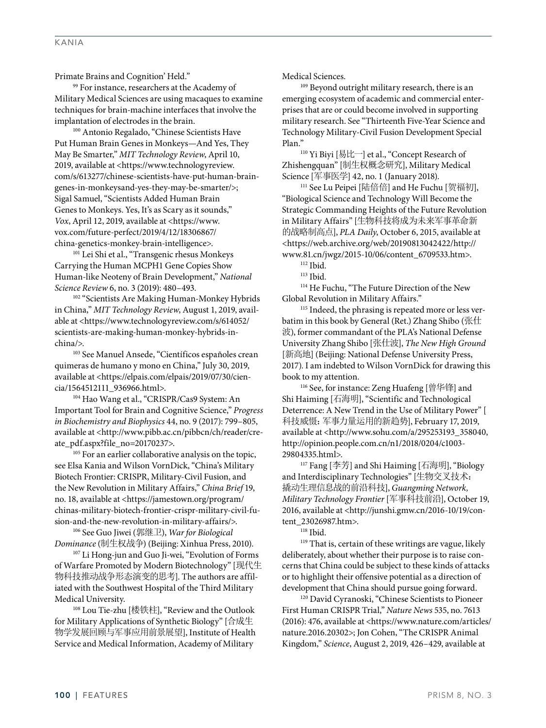Primate Brains and Cognition' Held." 99 For instance, researchers at the Academy of

Military Medical Sciences are using macaques to examine techniques for brain-machine interfaces that involve the implantation of electrodes in the brain.

100 Antonio Regalado, "Chinese Scientists Have Put Human Brain Genes in Monkeys—And Yes, They May Be Smarter," *MIT Technology Review*, April 10, 2019, available at <https://www.technologyreview. com/s/613277/chinese-scientists-have-put-human-braingenes-in-monkeysand-yes-they-may-be-smarter/>; Sigal Samuel, "Scientists Added Human Brain Genes to Monkeys. Yes, It's as Scary as it sounds," *Vox*, April 12, 2019, available at <https://www. vox.com/future-perfect/2019/4/12/18306867/ china-genetics-monkey-brain-intelligence>.

101 Lei Shi et al., "Transgenic rhesus Monkeys Carrying the Human MCPH1 Gene Copies Show Human-like Neoteny of Brain Development," *National Science Review* 6, no. 3 (2019): 480–493.

<sup>102</sup> "Scientists Are Making Human-Monkey Hybrids in China," *MIT Technology Review*, August 1, 2019, available at <https://www.technologyreview.com/s/614052/ scientists-are-making-human-monkey-hybrids-inchina/>.

103 See Manuel Ansede, "Científicos españoles crean quimeras de humano y mono en China," July 30, 2019, available at <https://elpais.com/elpais/2019/07/30/ciencia/1564512111\_936966.html>.

104 Hao Wang et al., "CRISPR/Cas9 System: An Important Tool for Brain and Cognitive Science," *Progress in Biochemistry and Biophysics* 44, no. 9 (2017): 799–805, available at <http://www.pibb.ac.cn/pibbcn/ch/reader/cre-

ate\_pdf.aspx?file\_no=20170237>.<br><sup>105</sup> For an earlier collaborative analysis on the topic, see Elsa Kania and Wilson VornDick, "China's Military Biotech Frontier: CRISPR, Military-Civil Fusion, and the New Revolution in Military Affairs," *China Brief* 19, no. 18, available at <https://jamestown.org/program/ chinas-military-biotech-frontier-crispr-military-civil-fusion-and-the-new-revolution-in-military-affairs/>.

106 See Guo Jiwei (郭继卫), *War for Biological Dominance* (制生权战争) (Beijing: Xinhua Press, 2010). 107 Li Hong-jun and Guo Ji-wei, "Evolution of Forms

of Warfare Promoted by Modern Biotechnology" [现代生 物科技推动战争形态演变的思考]. The authors are affiliated with the Southwest Hospital of the Third Military Medical University.

108 Lou Tie-zhu [楼铁柱], "Review and the Outlook for Military Applications of Synthetic Biology" [合成生 物学发展回顾与军事应用前景展望], Institute of Health Service and Medical Information, Academy of Military

Medical Sciences.

<sup>109</sup> Beyond outright military research, there is an emerging ecosystem of academic and commercial enterprises that are or could become involved in supporting military research. See "Thirteenth Five-Year Science and Technology Military-Civil Fusion Development Special Plan."<br><sup>110</sup> Yi Biyi [易比一] et al., "Concept Research of

Zhishengquan" [制生权概念研究], Military Medical Science [军事医学] 42, no. 1 (January 2018).

<sup>111</sup> See Lu Peipei [陆倍倍] and He Fuchu [贺福初], "Biological Science and Technology Will Become the Strategic Commanding Heights of the Future Revolution in Military Affairs" [生物科技将成为未来军事革命新 的战略制高点], *PLA Daily*, October 6, 2015, available at <https://web.archive.org/web/20190813042422/http:// www.81.cn/jwgz/2015-10/06/content\_6709533.htm>.

112 Ibid.

113 Ibid.

114 He Fuchu, "The Future Direction of the New Global Revolution in Military Affairs."<br>
<sup>115</sup> Indeed, the phrasing is repeated more or less ver-

batim in this book by General (Ret.) Zhang Shibo (张仕 波), former commandant of the PLA's National Defense University Zhang Shibo [张仕波], *The New High Ground* [新高地] (Beijing: National Defense University Press, 2017). I am indebted to Wilson VornDick for drawing this book to my attention.

116 See, for instance: Zeng Huafeng [曾华锋] and Shi Haiming [石海明], "Scientific and Technological Deterrence: A New Trend in the Use of Military Power" [ 科技威慑:军事力量运用的新趋势], February 17, 2019, available at <http://www.sohu.com/a/295253193\_358040, http://opinion.people.com.cn/n1/2018/0204/c1003- 29804335.html>.

117 Fang [李芳] and Shi Haiming [石海明], "Biology and Interdisciplinary Technologies" [生物交叉技术: 撬动生理信息战的前沿科技], *Guangming Network, Military Technology Frontier* [军事科技前沿], October 19, 2016, available at <http://junshi.gmw.cn/2016-10/19/content\_23026987.htm>.

118 Ibid.

119 That is, certain of these writings are vague, likely deliberately, about whether their purpose is to raise concerns that China could be subject to these kinds of attacks or to highlight their offensive potential as a direction of development that China should pursue going forward. 120 David Cyranoski, "Chinese Scientists to Pioneer

First Human CRISPR Trial," *Nature News* 535, no. 7613 (2016): 476, available at <https://www.nature.com/articles/ nature.2016.20302>; Jon Cohen, "The CRISPR Animal Kingdom," *Science*, August 2, 2019, 426–429, available at